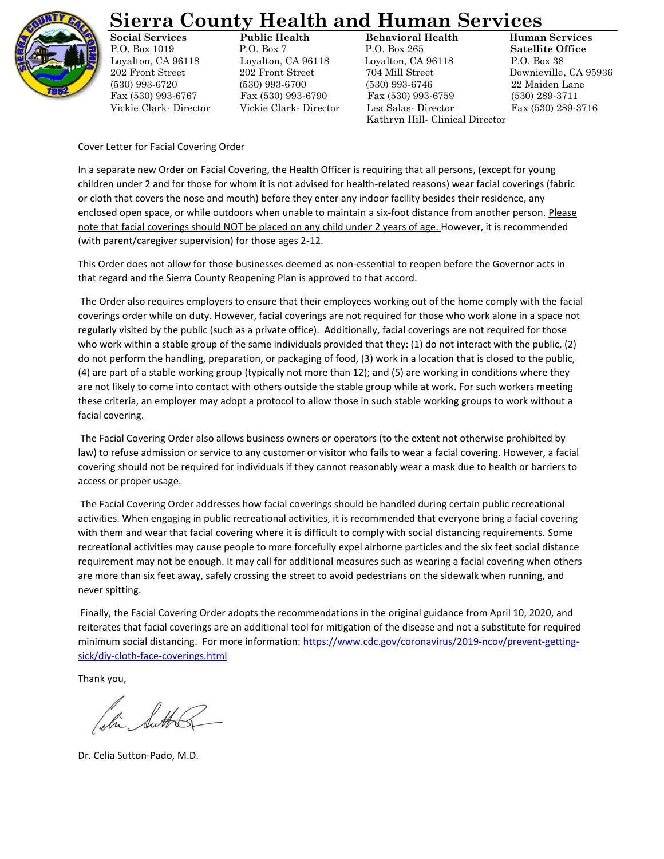

## **Sierra County Health and Human Services**

**Social Services Public Health Behavioral Health Human Services** P.O. Box 1019 P.O. Box 7 P.O. Box 265 **Satellite Office** Loyalton, CA 96118 Loyalton, CA 96118 Loyalton, CA 96118 P.O. Box 38 202 Front Street 202 Front Street 704 Mill Street Downieville, CA 95936 (530) 993-6720 (530) 993-6700 (530) 993-6746 22 Maiden Lane Fax (530) 993-6767 Fax (530) 993-6790 Fax (530) 993-6759 (530) 289-3711 Vickie Clark- Director Vickie Clark- Director Lea Salas- Director Fax (530) 289-3716 Kathryn Hill- Clinical Director

Cover Letter for Facial Covering Order

In a separate new Order on Facial Covering, the Health Officer is requiring that all persons, (except for young children under 2 and for those for whom it is not advised for health-related reasons) wear facial coverings (fabric or cloth that covers the nose and mouth) before they enter any indoor facility besides their residence, any enclosed open space, or while outdoors when unable to maintain a six-foot distance from another person. Please note that facial coverings should NOT be placed on any child under 2 years of age. However, it is recommended (with parent/caregiver supervision) for those ages 2-12.

This Order does not allow for those businesses deemed as non-essential to reopen before the Governor acts in that regard and the Sierra County Reopening Plan is approved to that accord.

The Order also requires employers to ensure that their employees working out of the home comply with the facial coverings order while on duty. However, facial coverings are not required for those who work alone in a space not regularly visited by the public (such as a private office). Additionally, facial coverings are not required for those who work within a stable group of the same individuals provided that they: (1) do not interact with the public, (2) do not perform the handling, preparation, or packaging of food, (3) work in a location that is closed to the public, (4) are part of a stable working group (typically not more than 12); and (5) are working in conditions where they are not likely to come into contact with others outside the stable group while at work. For such workers meeting these criteria, an employer may adopt a protocol to allow those in such stable working groups to work without a facial covering.

The Facial Covering Order also allows business owners or operators (to the extent not otherwise prohibited by law) to refuse admission or service to any customer or visitor who fails to wear a facial covering. However, a facial covering should not be required for individuals if they cannot reasonably wear a mask due to health or barriers to access or proper usage.

The Facial Covering Order addresses how facial coverings should be handled during certain public recreational activities. When engaging in public recreational activities, it is recommended that everyone bring a facial covering with them and wear that facial covering where it is difficult to comply with social distancing requirements. Some recreational activities may cause people to more forcefully expel airborne particles and the six feet social distance requirement may not be enough. It may call for additional measures such as wearing a facial covering when others are more than six feet away, safely crossing the street to avoid pedestrians on the sidewalk when running, and never spitting.

Finally, the Facial Covering Order adopts the recommendations in the original guidance from April 10, 2020, and reiterates that facial coverings are an additional tool for mitigation of the disease and not a substitute for required minimum social distancing. For more information[: https://www.cdc.gov/coronavirus/2019-ncov/prevent-getting](https://www.cdc.gov/coronavirus/2019-ncov/prevent-getting-sick/diy-cloth-face-coverings.html)[sick/diy-cloth-face-coverings.html](https://www.cdc.gov/coronavirus/2019-ncov/prevent-getting-sick/diy-cloth-face-coverings.html)

Thank you,

Dr. Celia Sutton-Pado, M.D.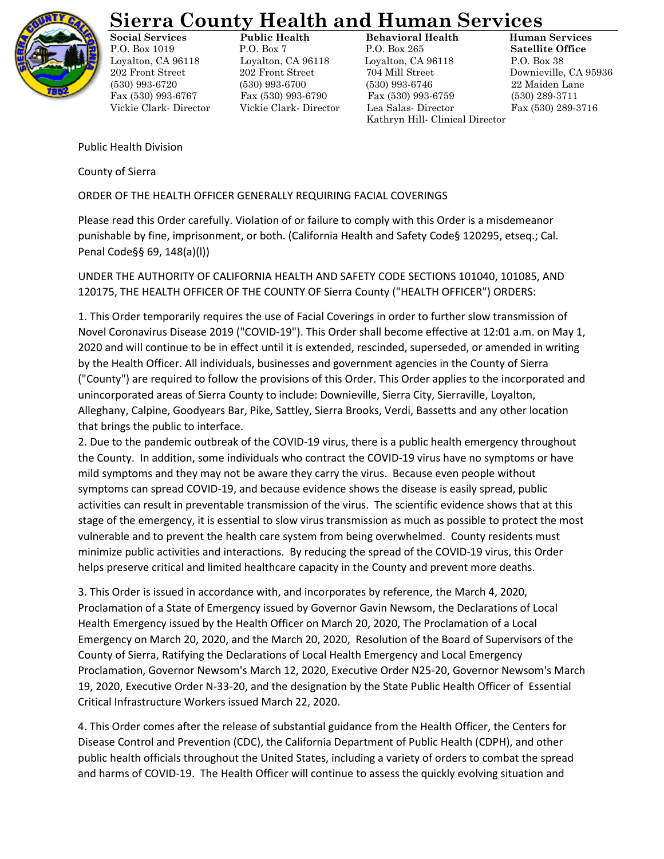

## **Sierra County Health and Human Services**

**Social Services Public Health Behavioral Health Human Services** P.O. Box 1019 P.O. Box 7 P.O. Box 265 **Satellite Office** Loyalton, CA 96118 Loyalton, CA 96118 Loyalton, CA 96118 P.O. Box 38 202 Front Street 202 Front Street 704 Mill Street Downieville, CA 95936 (530) 993-6720 (530) 993-6700 (530) 993-6746 22 Maiden Lane Fax (530) 993-6767 Fax (530) 993-6790 Fax (530) 993-6759 (530) 289-3711 Vickie Clark- Director Vickie Clark- Director Lea Salas- Director Fax (530) 289-3716 Kathryn Hill- Clinical Director

Public Health Division

County of Sierra

ORDER OF THE HEALTH OFFICER GENERALLY REQUIRING FACIAL COVERINGS

Please read this Order carefully. Violation of or failure to comply with this Order is a misdemeanor punishable by fine, imprisonment, or both. (California Health and Safety Code§ 120295, etseq.; Cal. Penal Code§§ 69, 148(a)(l))

UNDER THE AUTHORITY OF CALIFORNIA HEALTH AND SAFETY CODE SECTIONS 101040, 101085, AND 120175, THE HEALTH OFFICER OF THE COUNTY OF Sierra County ("HEALTH OFFICER") ORDERS:

1. This Order temporarily requires the use of Facial Coverings in order to further slow transmission of Novel Coronavirus Disease 2019 ("COVID-19"). This Order shall become effective at 12:01 a.m. on May 1, 2020 and will continue to be in effect until it is extended, rescinded, superseded, or amended in writing by the Health Officer. All individuals, businesses and government agencies in the County of Sierra ("County") are required to follow the provisions of this Order. This Order applies to the incorporated and unincorporated areas of Sierra County to include: Downieville, Sierra City, Sierraville, Loyalton, Alleghany, Calpine, Goodyears Bar, Pike, Sattley, Sierra Brooks, Verdi, Bassetts and any other location that brings the public to interface.

2. Due to the pandemic outbreak of the COVID-19 virus, there is a public health emergency throughout the County. In addition, some individuals who contract the COVID-19 virus have no symptoms or have mild symptoms and they may not be aware they carry the virus. Because even people without symptoms can spread COVID-19, and because evidence shows the disease is easily spread, public activities can result in preventable transmission of the virus. The scientific evidence shows that at this stage of the emergency, it is essential to slow virus transmission as much as possible to protect the most vulnerable and to prevent the health care system from being overwhelmed. County residents must minimize public activities and interactions. By reducing the spread of the COVID-19 virus, this Order helps preserve critical and limited healthcare capacity in the County and prevent more deaths.

3. This Order is issued in accordance with, and incorporates by reference, the March 4, 2020, Proclamation of a State of Emergency issued by Governor Gavin Newsom, the Declarations of Local Health Emergency issued by the Health Officer on March 20, 2020, The Proclamation of a Local Emergency on March 20, 2020, and the March 20, 2020, Resolution of the Board of Supervisors of the County of Sierra, Ratifying the Declarations of Local Health Emergency and Local Emergency Proclamation, Governor Newsom's March 12, 2020, Executive Order N25-20, Governor Newsom's March 19, 2020, Executive Order N-33-20, and the designation by the State Public Health Officer of Essential Critical Infrastructure Workers issued March 22, 2020.

4. This Order comes after the release of substantial guidance from the Health Officer, the Centers for Disease Control and Prevention (CDC), the California Department of Public Health (CDPH), and other public health officials throughout the United States, including a variety of orders to combat the spread and harms of COVID-19. The Health Officer will continue to assess the quickly evolving situation and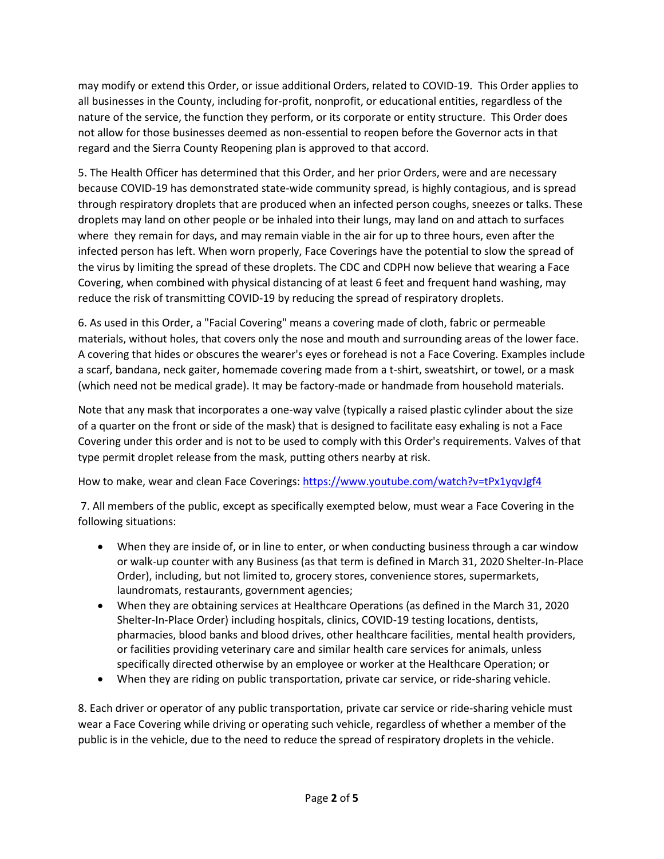may modify or extend this Order, or issue additional Orders, related to COVID-19. This Order applies to all businesses in the County, including for-profit, nonprofit, or educational entities, regardless of the nature of the service, the function they perform, or its corporate or entity structure. This Order does not allow for those businesses deemed as non-essential to reopen before the Governor acts in that regard and the Sierra County Reopening plan is approved to that accord.

5. The Health Officer has determined that this Order, and her prior Orders, were and are necessary because COVID-19 has demonstrated state-wide community spread, is highly contagious, and is spread through respiratory droplets that are produced when an infected person coughs, sneezes or talks. These droplets may land on other people or be inhaled into their lungs, may land on and attach to surfaces where they remain for days, and may remain viable in the air for up to three hours, even after the infected person has left. When worn properly, Face Coverings have the potential to slow the spread of the virus by limiting the spread of these droplets. The CDC and CDPH now believe that wearing a Face Covering, when combined with physical distancing of at least 6 feet and frequent hand washing, may reduce the risk of transmitting COVID-19 by reducing the spread of respiratory droplets.

6. As used in this Order, a "Facial Covering" means a covering made of cloth, fabric or permeable materials, without holes, that covers only the nose and mouth and surrounding areas of the lower face. A covering that hides or obscures the wearer's eyes or forehead is not a Face Covering. Examples include a scarf, bandana, neck gaiter, homemade covering made from a t-shirt, sweatshirt, or towel, or a mask (which need not be medical grade). It may be factory-made or handmade from household materials.

Note that any mask that incorporates a one-way valve (typically a raised plastic cylinder about the size of a quarter on the front or side of the mask) that is designed to facilitate easy exhaling is not a Face Covering under this order and is not to be used to comply with this Order's requirements. Valves of that type permit droplet release from the mask, putting others nearby at risk.

How to make, wear and clean Face Coverings:<https://www.youtube.com/watch?v=tPx1yqvJgf4>

7. All members of the public, except as specifically exempted below, must wear a Face Covering in the following situations:

- When they are inside of, or in line to enter, or when conducting business through a car window or walk-up counter with any Business (as that term is defined in March 31, 2020 Shelter-In-Place Order), including, but not limited to, grocery stores, convenience stores, supermarkets, laundromats, restaurants, government agencies;
- When they are obtaining services at Healthcare Operations (as defined in the March 31, 2020 Shelter-In-Place Order) including hospitals, clinics, COVID-19 testing locations, dentists, pharmacies, blood banks and blood drives, other healthcare facilities, mental health providers, or facilities providing veterinary care and similar health care services for animals, unless specifically directed otherwise by an employee or worker at the Healthcare Operation; or
- When they are riding on public transportation, private car service, or ride-sharing vehicle.

8. Each driver or operator of any public transportation, private car service or ride-sharing vehicle must wear a Face Covering while driving or operating such vehicle, regardless of whether a member of the public is in the vehicle, due to the need to reduce the spread of respiratory droplets in the vehicle.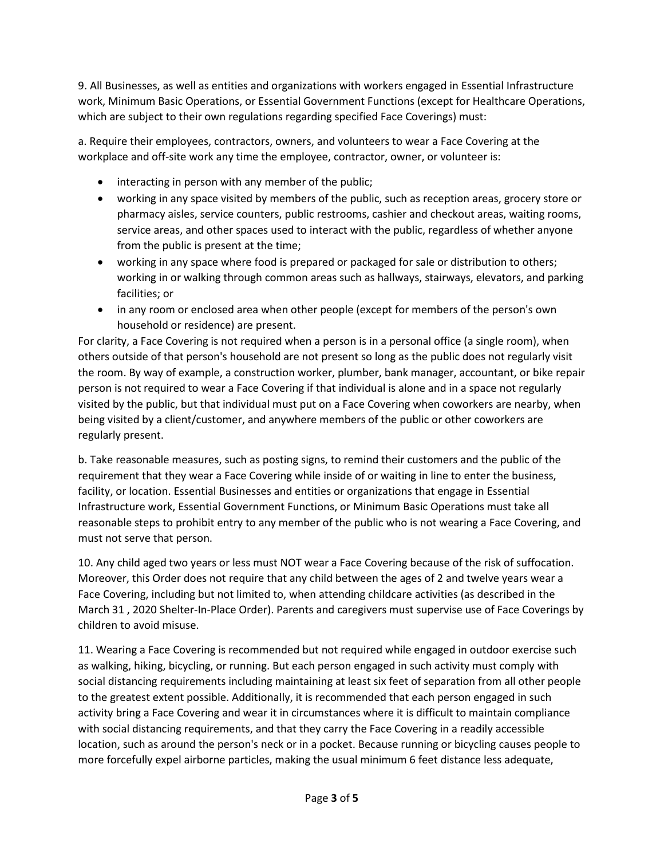9. All Businesses, as well as entities and organizations with workers engaged in Essential Infrastructure work, Minimum Basic Operations, or Essential Government Functions (except for Healthcare Operations, which are subject to their own regulations regarding specified Face Coverings) must:

a. Require their employees, contractors, owners, and volunteers to wear a Face Covering at the workplace and off-site work any time the employee, contractor, owner, or volunteer is:

- interacting in person with any member of the public;
- working in any space visited by members of the public, such as reception areas, grocery store or pharmacy aisles, service counters, public restrooms, cashier and checkout areas, waiting rooms, service areas, and other spaces used to interact with the public, regardless of whether anyone from the public is present at the time;
- working in any space where food is prepared or packaged for sale or distribution to others; working in or walking through common areas such as hallways, stairways, elevators, and parking facilities; or
- in any room or enclosed area when other people (except for members of the person's own household or residence) are present.

For clarity, a Face Covering is not required when a person is in a personal office (a single room), when others outside of that person's household are not present so long as the public does not regularly visit the room. By way of example, a construction worker, plumber, bank manager, accountant, or bike repair person is not required to wear a Face Covering if that individual is alone and in a space not regularly visited by the public, but that individual must put on a Face Covering when coworkers are nearby, when being visited by a client/customer, and anywhere members of the public or other coworkers are regularly present.

b. Take reasonable measures, such as posting signs, to remind their customers and the public of the requirement that they wear a Face Covering while inside of or waiting in line to enter the business, facility, or location. Essential Businesses and entities or organizations that engage in Essential Infrastructure work, Essential Government Functions, or Minimum Basic Operations must take all reasonable steps to prohibit entry to any member of the public who is not wearing a Face Covering, and must not serve that person.

10. Any child aged two years or less must NOT wear a Face Covering because of the risk of suffocation. Moreover, this Order does not require that any child between the ages of 2 and twelve years wear a Face Covering, including but not limited to, when attending childcare activities (as described in the March 31 , 2020 Shelter-In-Place Order). Parents and caregivers must supervise use of Face Coverings by children to avoid misuse.

11. Wearing a Face Covering is recommended but not required while engaged in outdoor exercise such as walking, hiking, bicycling, or running. But each person engaged in such activity must comply with social distancing requirements including maintaining at least six feet of separation from all other people to the greatest extent possible. Additionally, it is recommended that each person engaged in such activity bring a Face Covering and wear it in circumstances where it is difficult to maintain compliance with social distancing requirements, and that they carry the Face Covering in a readily accessible location, such as around the person's neck or in a pocket. Because running or bicycling causes people to more forcefully expel airborne particles, making the usual minimum 6 feet distance less adequate,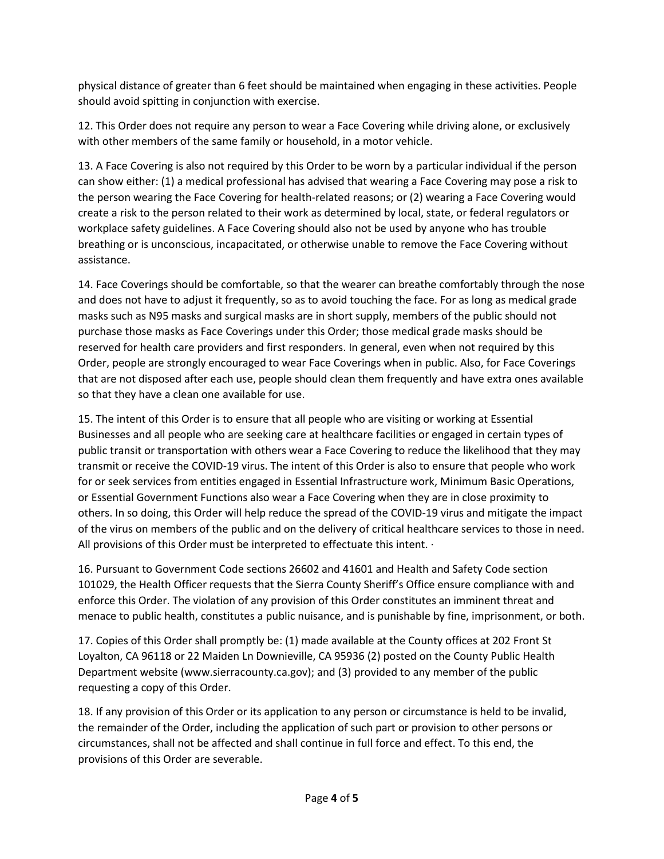physical distance of greater than 6 feet should be maintained when engaging in these activities. People should avoid spitting in conjunction with exercise.

12. This Order does not require any person to wear a Face Covering while driving alone, or exclusively with other members of the same family or household, in a motor vehicle.

13. A Face Covering is also not required by this Order to be worn by a particular individual if the person can show either: (1) a medical professional has advised that wearing a Face Covering may pose a risk to the person wearing the Face Covering for health-related reasons; or (2) wearing a Face Covering would create a risk to the person related to their work as determined by local, state, or federal regulators or workplace safety guidelines. A Face Covering should also not be used by anyone who has trouble breathing or is unconscious, incapacitated, or otherwise unable to remove the Face Covering without assistance.

14. Face Coverings should be comfortable, so that the wearer can breathe comfortably through the nose and does not have to adjust it frequently, so as to avoid touching the face. For as long as medical grade masks such as N95 masks and surgical masks are in short supply, members of the public should not purchase those masks as Face Coverings under this Order; those medical grade masks should be reserved for health care providers and first responders. In general, even when not required by this Order, people are strongly encouraged to wear Face Coverings when in public. Also, for Face Coverings that are not disposed after each use, people should clean them frequently and have extra ones available so that they have a clean one available for use.

15. The intent of this Order is to ensure that all people who are visiting or working at Essential Businesses and all people who are seeking care at healthcare facilities or engaged in certain types of public transit or transportation with others wear a Face Covering to reduce the likelihood that they may transmit or receive the COVID-19 virus. The intent of this Order is also to ensure that people who work for or seek services from entities engaged in Essential Infrastructure work, Minimum Basic Operations, or Essential Government Functions also wear a Face Covering when they are in close proximity to others. In so doing, this Order will help reduce the spread of the COVID-19 virus and mitigate the impact of the virus on members of the public and on the delivery of critical healthcare services to those in need. All provisions of this Order must be interpreted to effectuate this intent.  $\cdot$ 

16. Pursuant to Government Code sections 26602 and 41601 and Health and Safety Code section 101029, the Health Officer requests that the Sierra County Sheriff's Office ensure compliance with and enforce this Order. The violation of any provision of this Order constitutes an imminent threat and menace to public health, constitutes a public nuisance, and is punishable by fine, imprisonment, or both.

17. Copies of this Order shall promptly be: (1) made available at the County offices at 202 Front St Loyalton, CA 96118 or 22 Maiden Ln Downieville, CA 95936 (2) posted on the County Public Health Department website (www.sierracounty.ca.gov); and (3) provided to any member of the public requesting a copy of this Order.

18. If any provision of this Order or its application to any person or circumstance is held to be invalid, the remainder of the Order, including the application of such part or provision to other persons or circumstances, shall not be affected and shall continue in full force and effect. To this end, the provisions of this Order are severable.